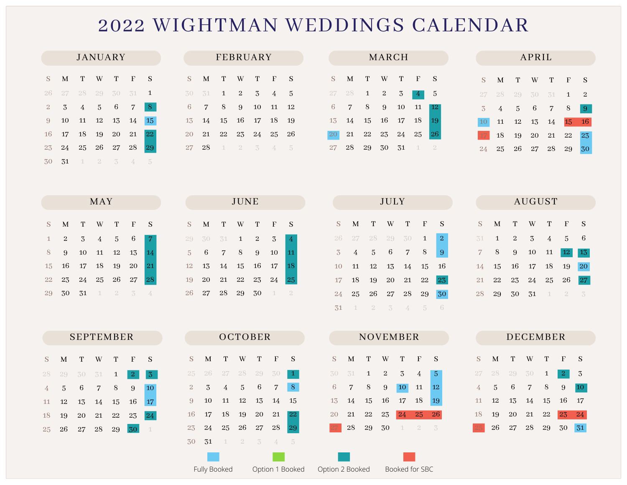## WIGHTMAN WEDDINGS CALENDAR

| JANUARY     |  |                                              |  |  |  |    |  |  |  |  |
|-------------|--|----------------------------------------------|--|--|--|----|--|--|--|--|
| $S -$       |  | M T W T F                                    |  |  |  | S  |  |  |  |  |
|             |  | 26 27 28 29 30 31 1                          |  |  |  |    |  |  |  |  |
| $2^{\circ}$ |  | $3 \t4 \t5 \t6 \t7$                          |  |  |  | -8 |  |  |  |  |
| 9           |  | 10 11 12 13 14                               |  |  |  | 15 |  |  |  |  |
| 16          |  | 17 18 19 20 21 22                            |  |  |  |    |  |  |  |  |
|             |  | 23 24 25 26 27 28                            |  |  |  | 29 |  |  |  |  |
| 30          |  | $31 \quad 1 \quad 2 \quad 3 \quad 4 \quad 5$ |  |  |  |    |  |  |  |  |

| FEBRUARY |                   |                                      |           |  |  |    |  |  |  |
|----------|-------------------|--------------------------------------|-----------|--|--|----|--|--|--|
| S.       | M                 |                                      | T W T F   |  |  | S  |  |  |  |
| 30       |                   | $31 \quad 1 \quad 2 \quad 3 \quad 4$ |           |  |  | 5  |  |  |  |
| 6        | $\overline{7}$    |                                      | 8 9 10 11 |  |  | 12 |  |  |  |
|          | 13 14 15 16 17 18 |                                      |           |  |  | 19 |  |  |  |
| 20       |                   | 21 22 23 24 25                       |           |  |  | 26 |  |  |  |
| 27 28    |                   | 1 2 3 4 5                            |           |  |  |    |  |  |  |
|          |                   |                                      |           |  |  |    |  |  |  |

| MARCH   |                          |             |  |  |  |                 |  |  |  |
|---------|--------------------------|-------------|--|--|--|-----------------|--|--|--|
| $S_{-}$ |                          | M T W T F S |  |  |  |                 |  |  |  |
|         | $27$ $28$ <b>1 2 3 4</b> |             |  |  |  | - 5             |  |  |  |
|         | 6 7 8 9 10 11 12         |             |  |  |  |                 |  |  |  |
|         | 13 14 15 16 17 18        |             |  |  |  | - 19            |  |  |  |
|         | 20 21 22 23 24 25        |             |  |  |  | $\overline{26}$ |  |  |  |
|         | 27 28 29 30 31 1 2       |             |  |  |  |                 |  |  |  |
|         |                          |             |  |  |  |                 |  |  |  |

| APRIL          |   |                   |  |  |                  |                |  |  |
|----------------|---|-------------------|--|--|------------------|----------------|--|--|
| $S_{-}$        | M |                   |  |  | T W T F          | S              |  |  |
|                |   |                   |  |  | 27 28 29 30 31 1 | $\overline{2}$ |  |  |
| $\overline{3}$ |   | 4 5 6 7 8         |  |  |                  | -9             |  |  |
| 10             |   | 11 12 13 14       |  |  | <b>15</b>        | <b>16</b>      |  |  |
| 17 18          |   | 19 20 21 22       |  |  |                  | 23             |  |  |
|                |   | 24 25 26 27 28 29 |  |  |                  | 30             |  |  |
|                |   |                   |  |  |                  |                |  |  |

| JULY                                         |  |  |  |   |                |  |  |  |  |
|----------------------------------------------|--|--|--|---|----------------|--|--|--|--|
| S M T W T F                                  |  |  |  |   | S              |  |  |  |  |
| 26 27 28 29 30 1                             |  |  |  |   | $\overline{2}$ |  |  |  |  |
| $3 \quad 4 \quad 5 \quad 6 \quad 7$          |  |  |  | 8 | 9              |  |  |  |  |
| 10 11 12 13 14 15 16                         |  |  |  |   |                |  |  |  |  |
| 17  18  19  20  21  22                       |  |  |  |   | 23             |  |  |  |  |
| 24 25 26 27 28 29                            |  |  |  |   | 30             |  |  |  |  |
| $31 \quad 1 \quad 2 \quad 3 \quad 4 \quad 5$ |  |  |  |   | 6              |  |  |  |  |

NOVEMBER

S M T W T F S

14 15 16 17 18 19

21 22 23 24 25 26

11 12

 

2 3

8 9

29 30

| AUUU 1 |  |                              |  |  |  |   |  |  |  |
|--------|--|------------------------------|--|--|--|---|--|--|--|
|        |  | S M T W T F                  |  |  |  | S |  |  |  |
|        |  | $31 \t1 \t2 \t3 \t4 \t5 \t6$ |  |  |  |   |  |  |  |
|        |  | 7 8 9 10 11 12 13            |  |  |  |   |  |  |  |
|        |  | 14 15 16 17 18 19 20         |  |  |  |   |  |  |  |
|        |  | 21 22 23 24 25 26 27         |  |  |  |   |  |  |  |
|        |  | 28 29 30 31 1 2 3            |  |  |  |   |  |  |  |
|        |  |                              |  |  |  |   |  |  |  |

**AUCULOT** 

| DECEMBER |    |          |             |              |                |                   |  |  |  |
|----------|----|----------|-------------|--------------|----------------|-------------------|--|--|--|
|          |    |          |             |              |                |                   |  |  |  |
| S        | M  | T.       | W           | т            | F              | S                 |  |  |  |
| 27       |    | 28 29 30 |             | $\mathbf{1}$ | $\overline{2}$ | 3                 |  |  |  |
| 4        | 5  | 6        | $7^{\circ}$ | 8            | 9              | 10                |  |  |  |
| 11       | 12 | 13       | 14 15 16    |              |                | 17                |  |  |  |
| 18       | 19 | 20       | 21          | 22           | 23             | $\blacksquare$ 24 |  |  |  |
|          | 26 | 27       | 28          | 29           | 30             | 31                |  |  |  |

|    | JUNE |    |              |    |             |                |  |  |  |
|----|------|----|--------------|----|-------------|----------------|--|--|--|
| S  | M    | т  | W            | т  | F           | S              |  |  |  |
| 29 | 30   | 31 | $\mathbf{1}$ | 2  | 3           | 4              |  |  |  |
| 5  | 6    | 7  | 8            | 9  | 10          | 11             |  |  |  |
| 12 | 13   | 14 | 15           | 16 | 17          | 18             |  |  |  |
| 19 | 20   | 21 | 22           | 23 | 24          | 25             |  |  |  |
| 26 | 27   | 28 | 29           | 30 | $\mathbf 1$ | $\overline{2}$ |  |  |  |

| MAY                     |  |  |  |  |    |  |  |  |  |
|-------------------------|--|--|--|--|----|--|--|--|--|
| S M T W T F             |  |  |  |  | S  |  |  |  |  |
| $1 \t2 \t3 \t4 \t5 \t6$ |  |  |  |  |    |  |  |  |  |
| 8 9 10 11 12 13         |  |  |  |  | 14 |  |  |  |  |
| 15 16 17 18 19 20       |  |  |  |  | 21 |  |  |  |  |
| 22 23 24 25 26 27       |  |  |  |  | 28 |  |  |  |  |
| 29 30 31 1 2 3          |  |  |  |  | 4  |  |  |  |  |

| <b>SEPTEMBER</b> |                |          |                |   |                |          |  |  |  |  |
|------------------|----------------|----------|----------------|---|----------------|----------|--|--|--|--|
| S                | M              | T        | W T            |   | F              | S        |  |  |  |  |
| 28               | 29 30 31 1     |          |                |   | $\overline{2}$ | 3        |  |  |  |  |
| 4                | 5 <sup>1</sup> | 6        | $\overline{7}$ | 8 | 9              | 10       |  |  |  |  |
| 11               | 12             |          | 13 14 15       |   | 16             | 17       |  |  |  |  |
| 18               | 19             |          | 20 21 22 23    |   |                | 24       |  |  |  |  |
| 25               | 26             | 27 28 29 |                |   | 30.            | $\lceil$ |  |  |  |  |
|                  |                |          |                |   |                |          |  |  |  |  |

| OCTOBER        |                     |                    |  |  |             |    |  |  |  |  |
|----------------|---------------------|--------------------|--|--|-------------|----|--|--|--|--|
| S              |                     | M T W T F          |  |  |             | S  |  |  |  |  |
|                | 25 26 27 28 29 30   |                    |  |  |             | 1  |  |  |  |  |
| $\overline{2}$ | - 3                 | 4 5 6 7            |  |  |             | 8  |  |  |  |  |
| 9              | 10                  |                    |  |  | 11 12 13 14 | 15 |  |  |  |  |
| 16             |                     | 17  18  19  20  21 |  |  |             | 22 |  |  |  |  |
| 23             |                     | 24 25 26 27 28     |  |  |             | 29 |  |  |  |  |
| 30             | <b>31</b> 1 2 3 4 5 |                    |  |  |             |    |  |  |  |  |
|                |                     |                    |  |  |             |    |  |  |  |  |

| Fully Booked | Option 1 Booked | Option 2 Booked | Booked for SBC |
|--------------|-----------------|-----------------|----------------|
|              |                 |                 |                |